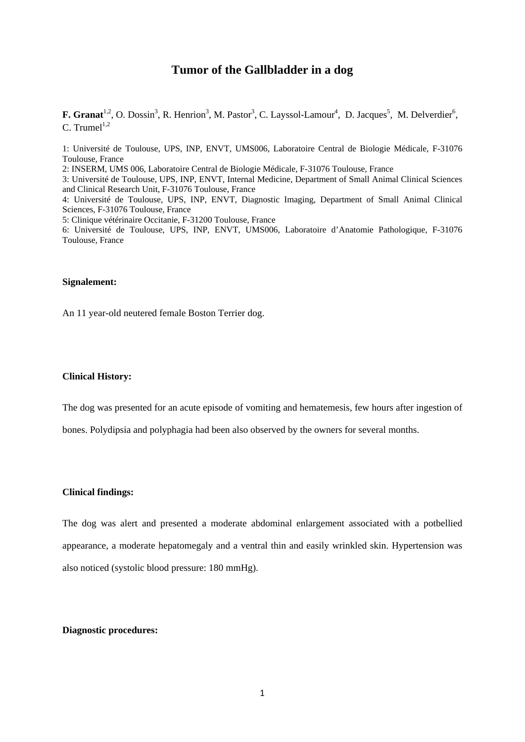# **Tumor of the Gallbladder in a dog**

**F. Granat**<sup>1,2</sup>, O. Dossin<sup>3</sup>, R. Henrion<sup>3</sup>, M. Pastor<sup>3</sup>, C. Layssol-Lamour<sup>4</sup>, D. Jacques<sup>5</sup>, M. Delverdier<sup>6</sup>, C. Trumel $^{1,2}$ 

1: Université de Toulouse, UPS, INP, ENVT, UMS006, Laboratoire Central de Biologie Médicale, F-31076 Toulouse, France

2: INSERM, UMS 006, Laboratoire Central de Biologie Médicale, F-31076 Toulouse, France

3: Université de Toulouse, UPS, INP, ENVT, Internal Medicine, Department of Small Animal Clinical Sciences and Clinical Research Unit, F-31076 Toulouse, France

4: Université de Toulouse, UPS, INP, ENVT, Diagnostic Imaging, Department of Small Animal Clinical Sciences, F-31076 Toulouse, France

5: Clinique vétérinaire Occitanie, F-31200 Toulouse, France

6: Université de Toulouse, UPS, INP, ENVT, UMS006, Laboratoire d'Anatomie Pathologique, F-31076 Toulouse, France

### **Signalement:**

An 11 year-old neutered female Boston Terrier dog.

### **Clinical History:**

The dog was presented for an acute episode of vomiting and hematemesis, few hours after ingestion of

bones. Polydipsia and polyphagia had been also observed by the owners for several months.

#### **Clinical findings:**

The dog was alert and presented a moderate abdominal enlargement associated with a potbellied appearance, a moderate hepatomegaly and a ventral thin and easily wrinkled skin. Hypertension was also noticed (systolic blood pressure: 180 mmHg).

### **Diagnostic procedures:**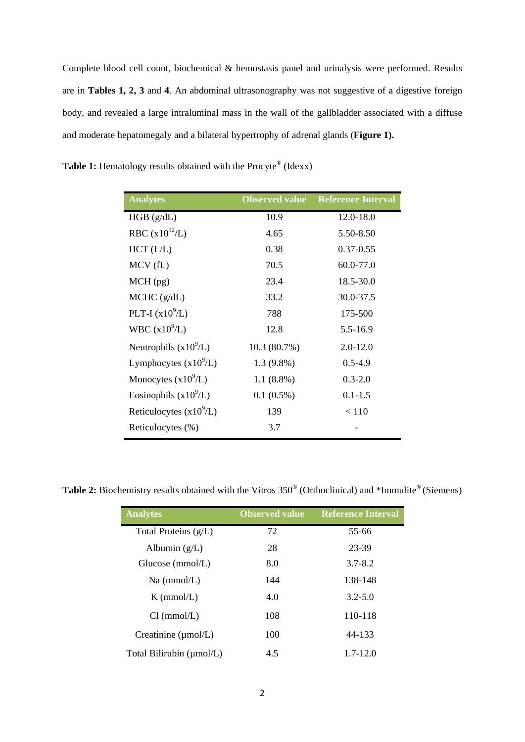Complete blood cell count, biochemical & hemostasis panel and urinalysis were performed. Results are in **Tables 1, 2, 3** and **4**. An abdominal ultrasonography was not suggestive of a digestive foreign body, and revealed a large intraluminal mass in the wall of the gallbladder associated with a diffuse and moderate hepatomegaly and a bilateral hypertrophy of adrenal glands (**Figure 1).** 

| <b>Analytes</b>           | <b>Observed value</b> | <b>Reference Interval</b> |
|---------------------------|-----------------------|---------------------------|
| HGB (g/dL)                | 10.9                  | 12.0-18.0                 |
| RBC $(x10^{12}/L)$        | 4.65                  | 5.50-8.50                 |
| $HCT$ ( $L/L$ )           | 0.38                  | $0.37 - 0.55$             |
| MCV(fL)                   | 70.5                  | 60.0-77.0                 |
| $MCH$ (pg)                | 23.4                  | 18.5-30.0                 |
| MCHC (g/dL)               | 33.2                  | 30.0-37.5                 |
| PLT-I $(x10^9/L)$         | 788                   | 175-500                   |
| WBC $(x10^9/L)$           | 12.8                  | 5.5-16.9                  |
| Neutrophils $(x10^9/L)$   | 10.3 (80.7%)          | $2.0 - 12.0$              |
| Lymphocytes $(x10^9/L)$   | $1.3(9.8\%)$          | $0.5 - 4.9$               |
| Monocytes $(x10^9/L)$     | $1.1(8.8\%)$          | $0.3 - 2.0$               |
| Eosinophils $(x10^9/L)$   | $0.1(0.5\%)$          | $0.1 - 1.5$               |
| Reticulocytes $(x10^9/L)$ | 139                   | < 110                     |
| Reticulocytes (%)         | 3.7                   |                           |

**Table 1:** Hematology results obtained with the Procyte<sup>®</sup> (Idexx)

Table 2: Biochemistry results obtained with the Vitros 350<sup>®</sup> (Orthoclinical) and \*Immulite<sup>®</sup> (Siemens)

| <b>Analytes</b>                 | <b>Observed value</b> | <b>Reference Interval</b> |
|---------------------------------|-----------------------|---------------------------|
| Total Proteins $(g/L)$          | 72                    | 55-66                     |
| Albumin $(g/L)$                 | 28                    | 23-39                     |
| Glucose (mmol/L)                | 8.0                   | $3.7 - 8.2$               |
| $Na$ (mmol/L)                   | 144                   | 138-148                   |
| $K \, (mmol/L)$                 | 4.0                   | $3.2 - 5.0$               |
| Cl (mmol/L)                     | 108                   | 110-118                   |
| Creatinine $(\mu \text{mol/L})$ | 100                   | 44-133                    |
| Total Bilirubin (umol/L)        | 4.5                   | $1.7 - 12.0$              |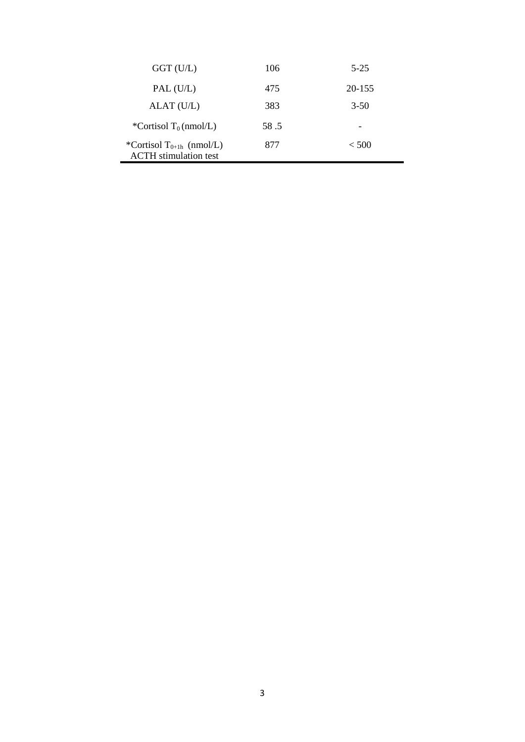| $GGT$ (U/L)                                                          | 106  | $5 - 25$ |
|----------------------------------------------------------------------|------|----------|
| PAL (U/L)                                                            | 475  | 20-155   |
| ALAT (U/L)                                                           | 383  | $3-50$   |
| *Cortisol $T_0$ (nmol/L)                                             | 58.5 |          |
| *Cortisol T <sub>0+1h</sub> (nmol/L)<br><b>ACTH</b> stimulation test | 877  | < 500    |

L.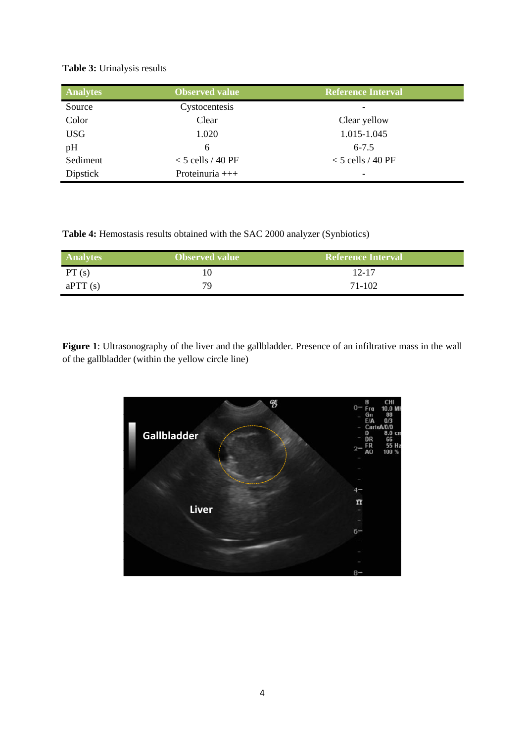## **Table 3:** Urinalysis results

| <b>Analytes</b> | <b>Observed value</b> | <b>Reference Interval</b> |
|-----------------|-----------------------|---------------------------|
| Source          | Cystocentesis         | -                         |
| Color           | Clear                 | Clear yellow              |
| <b>USG</b>      | 1.020                 | 1.015-1.045               |
| pH              | 6                     | $6 - 7.5$                 |
| Sediment        | $<$ 5 cells / 40 PF   | $<$ 5 cells / 40 PF       |
| <b>Dipstick</b> | Proteinuria +++       | -                         |

**Table 4:** Hemostasis results obtained with the SAC 2000 analyzer (Synbiotics)

| <b>Analytes</b> | <b>Observed value</b> | <b>Reference Interval</b> |
|-----------------|-----------------------|---------------------------|
| PT(s)           |                       | $12 - 17$                 |
| aPTT(s)         | 79.                   | 71-102                    |

**Figure 1**: Ultrasonography of the liver and the gallbladder. Presence of an infiltrative mass in the wall of the gallbladder (within the yellow circle line)